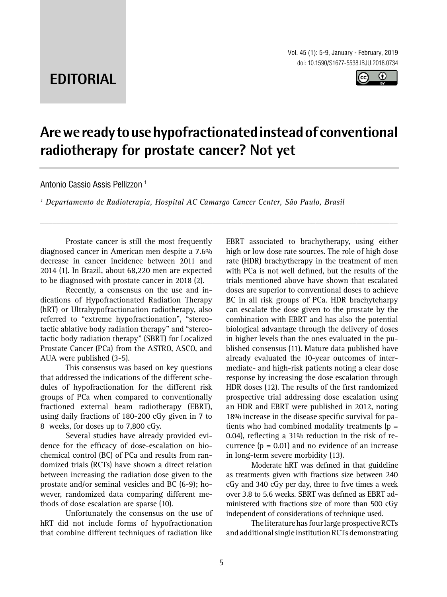# **EDITORIAL**



# **Are we ready to use hypofractionated instead of conventional radiotherapy for prostate cancer? Not yet \_\_\_\_\_\_\_\_\_\_\_\_\_\_\_\_\_\_\_\_\_\_\_\_\_\_\_\_\_\_\_\_\_\_\_\_\_\_\_\_\_\_\_\_\_\_\_**

*\_\_\_\_\_\_\_\_\_\_\_\_\_\_\_\_\_\_\_\_\_\_\_\_\_\_\_\_\_\_\_\_\_\_\_\_\_\_\_\_\_\_\_\_\_\_\_\_\_\_\_\_\_\_\_\_\_\_\_\_\_\_\_\_\_\_\_\_\_\_\_\_\_\_\_\_\_\_\_\_\_\_\_\_\_\_\_*

Antonio Cassio Assis Pellizzon <sup>1</sup>

*1 Departamento de Radioterapia, Hospital AC Camargo Cancer Center, São Paulo, Brasil* 

Prostate cancer is still the most frequently diagnosed cancer in American men despite a 7.6% decrease in cancer incidence between 2011 and 2014 (1). In Brazil, about 68,220 men are expected to be diagnosed with prostate cancer in 2018 (2).

Recently, a consensus on the use and indications of Hypofractionated Radiation Therapy (hRT) or Ultrahypofractionation radiotherapy, also referred to "extreme hypofractionation", "stereotactic ablative body radiation therapy" and "stereotactic body radiation therapy" (SBRT) for Localized Prostate Cancer (PCa) from the ASTRO, ASCO, and AUA were published (3-5).

This consensus was based on key questions that addressed the indications of the different schedules of hypofractionation for the different risk groups of PCa when compared to conventionally fractioned external beam radiotherapy (EBRT), using daily fractions of 180-200 cGy given in 7 to 8 weeks, for doses up to 7,800 cGy.

Several studies have already provided evidence for the efficacy of dose-escalation on biochemical control (BC) of PCa and results from randomized trials (RCTs) have shown a direct relation between increasing the radiation dose given to the prostate and/or seminal vesicles and BC (6-9); however, randomized data comparing different methods of dose escalation are sparse (10).

Unfortunately the consensus on the use of hRT did not include forms of hypofractionation that combine different techniques of radiation like

EBRT associated to brachytherapy, using either high or low dose rate sources. The role of high dose rate (HDR) brachytherapy in the treatment of men with PCa is not well defined, but the results of the trials mentioned above have shown that escalated doses are superior to conventional doses to achieve BC in all risk groups of PCa. HDR brachyteharpy can escalate the dose given to the prostate by the combination with EBRT and has also the potential biological advantage through the delivery of doses in higher levels than the ones evaluated in the published consensus (11). Mature data published have already evaluated the 10-year outcomes of intermediate- and high-risk patients noting a clear dose response by increasing the dose escalation through HDR doses (12). The results of the first randomized prospective trial addressing dose escalation using an HDR and EBRT were published in 2012, noting 18% increase in the disease specific survival for patients who had combined modality treatments  $(p =$ 0.04), reflecting a 31% reduction in the risk of recurrence  $(p = 0.01)$  and no evidence of an increase in long-term severe morbidity (13).

Moderate hRT was defined in that guideline as treatments given with fractions size between 240 cGy and 340 cGy per day, three to five times a week over 3.8 to 5.6 weeks. SBRT was defined as EBRT administered with fractions size of more than 500 cGy independent of considerations of technique used.

The literature has four large prospective RCTs and additional single institution RCTs demonstrating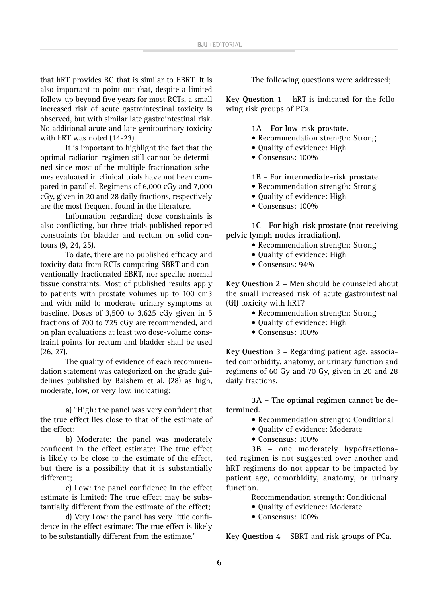that hRT provides BC that is similar to EBRT. It is also important to point out that, despite a limited follow-up beyond five years for most RCTs, a small increased risk of acute gastrointestinal toxicity is observed, but with similar late gastrointestinal risk. No additional acute and late genitourinary toxicity with hRT was noted (14-23).

It is important to highlight the fact that the optimal radiation regimen still cannot be determined since most of the multiple fractionation schemes evaluated in clinical trials have not been compared in parallel. Regimens of 6,000 cGy and 7,000 cGy, given in 20 and 28 daily fractions, respectively are the most frequent found in the literature.

Information regarding dose constraints is also conflicting, but three trials published reported constraints for bladder and rectum on solid contours (9, 24, 25).

To date, there are no published efficacy and toxicity data from RCTs comparing SBRT and conventionally fractionated EBRT, nor specific normal tissue constraints. Most of published results apply to patients with prostate volumes up to 100 cm3 and with mild to moderate urinary symptoms at baseline. Doses of 3,500 to 3,625 cGy given in 5 fractions of 700 to 725 cGy are recommended, and on plan evaluations at least two dose-volume constraint points for rectum and bladder shall be used (26, 27).

The quality of evidence of each recommendation statement was categorized on the grade guidelines published by Balshem et al. (28) as high, moderate, low, or very low, indicating:

a) "High: the panel was very confident that the true effect lies close to that of the estimate of the effect;

b) Moderate: the panel was moderately confident in the effect estimate: The true effect is likely to be close to the estimate of the effect, but there is a possibility that it is substantially different;

c) Low: the panel confidence in the effect estimate is limited: The true effect may be substantially different from the estimate of the effect;

d) Very Low: the panel has very little confidence in the effect estimate: The true effect is likely to be substantially different from the estimate."

The following questions were addressed;

**Key Question 1 –** hRT is indicated for the following risk groups of PCa.

**1A - For low-risk prostate.**

- Recommendation strength: Strong
- Quality of evidence: High
- Consensus: 100%

**1B - For intermediate-risk prostate.**

- Recommendation strength: Strong
- Quality of evidence: High
- Consensus: 100%

**1C - For high-risk prostate (not receiving pelvic lymph nodes irradiation).**

- Recommendation strength: Strong
- Quality of evidence: High
- Consensus: 94%

**Key Question 2 –** Men should be counseled about the small increased risk of acute gastrointestinal (GI) toxicity with hRT?

- Recommendation strength: Strong
- Quality of evidence: High
- Consensus: 100%

**Key Question 3 –** Regarding patient age, associated comorbidity, anatomy, or urinary function and regimens of 60 Gy and 70 Gy, given in 20 and 28 daily fractions.

**3A – The optimal regimen cannot be determined.** 

- Recommendation strength: Conditional
- Quality of evidence: Moderate
- Consensus: 100%

**3B –** one moderately hypofractionated regimen is not suggested over another and hRT regimens do not appear to be impacted by patient age, comorbidity, anatomy, or urinary function.

Recommendation strength: Conditional

- Quality of evidence: Moderate
- Consensus: 100%

**Key Question 4 –** SBRT and risk groups of PCa.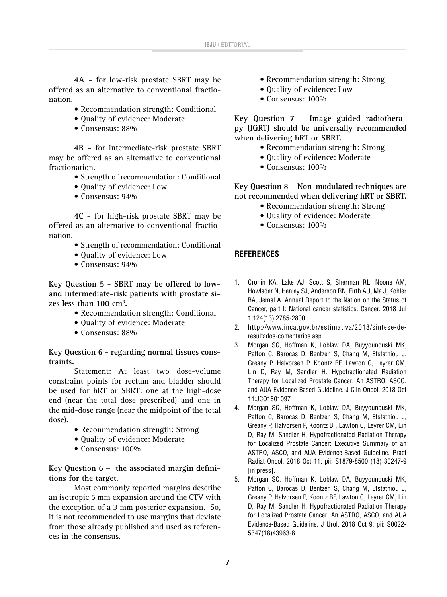**4A -** for low-risk prostate SBRT may be offered as an alternative to conventional fractionation.

- Recommendation strength: Conditional
- Quality of evidence: Moderate
- Consensus: 88%

**4B -** for intermediate-risk prostate SBRT may be offered as an alternative to conventional fractionation.

- Strength of recommendation: Conditional
- Quality of evidence: Low
- Consensus: 94%

**4C -** for high-risk prostate SBRT may be offered as an alternative to conventional fractionation.

- Strength of recommendation: Conditional
- Quality of evidence: Low
- Consensus: 94%

**Key Question 5 - SBRT may be offered to lowand intermediate-risk patients with prostate sizes less than 100 cm3 .**

- Recommendation strength: Conditional
- Quality of evidence: Moderate
- Consensus: 88%

**Key Question 6 - regarding normal tissues constraints.**

Statement: At least two dose-volume constraint points for rectum and bladder should be used for hRT or SBRT: one at the high-dose end (near the total dose prescribed) and one in the mid-dose range (near the midpoint of the total dose).

- Recommendation strength: Strong
- Quality of evidence: Moderate
- Consensus: 100%

**Key Question 6 – the associated margin definitions for the target.**

Most commonly reported margins describe an isotropic 5 mm expansion around the CTV with the exception of a 3 mm posterior expansion. So, it is not recommended to use margins that deviate from those already published and used as references in the consensus.

- Recommendation strength: Strong
- Quality of evidence: Low
- Consensus: 100%

**Key Question 7 – Image guided radiotherapy (IGRT) should be universally recommended when delivering hRT or SBRT.**

- Recommendation strength: Strong
- Quality of evidence: Moderate
- Consensus: 100%

**Key Question 8 – Non-modulated techniques are not recommended when delivering hRT or SBRT.**

- Recommendation strength: Strong
- Quality of evidence: Moderate
- Consensus: 100%

### **REFERENCES**

- 1. Cronin KA, Lake AJ, Scott S, Sherman RL, Noone AM, Howlader N, Henley SJ, Anderson RN, Firth AU, Ma J, Kohler BA, Jemal A. Annual Report to the Nation on the Status of Cancer, part I: National cancer statistics. Cancer. 2018 Jul 1;124(13):2785-2800.
- 2. http://www.inca.gov.br/estimativa/2018/sintese-deresultados-comentarios.asp
- 3. Morgan SC, Hoffman K, Loblaw DA, Buyyounouski MK, Patton C, Barocas D, Bentzen S, Chang M, Efstathiou J, Greany P, Halvorsen P, Koontz BF, Lawton C, Leyrer CM, Lin D, Ray M, Sandler H. Hypofractionated Radiation Therapy for Localized Prostate Cancer: An ASTRO, ASCO, and AUA Evidence-Based Guideline. J Clin Oncol. 2018 Oct 11:JCO1801097
- 4. Morgan SC, Hoffman K, Loblaw DA, Buyyounouski MK, Patton C, Barocas D, Bentzen S, Chang M, Efstathiou J, Greany P, Halvorsen P, Koontz BF, Lawton C, Leyrer CM, Lin D, Ray M, Sandler H. Hypofractionated Radiation Therapy for Localized Prostate Cancer: Executive Summary of an ASTRO, ASCO, and AUA Evidence-Based Guideline. Pract Radiat Oncol. 2018 Oct 11. pii: S1879-8500 (18) 30247-9 [in press].
- 5. Morgan SC, Hoffman K, Loblaw DA, Buyyounouski MK, Patton C, Barocas D, Bentzen S, Chang M, Efstathiou J, Greany P, Halvorsen P, Koontz BF, Lawton C, Leyrer CM, Lin D, Ray M, Sandler H. Hypofractionated Radiation Therapy for Localized Prostate Cancer: An ASTRO, ASCO, and AUA Evidence-Based Guideline. J Urol. 2018 Oct 9. pii: S0022- 5347(18)43963-8.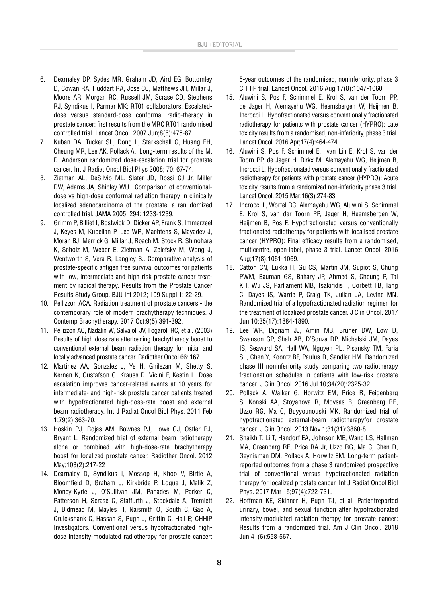- 6. Dearnaley DP, Sydes MR, Graham JD, Aird EG, Bottomley D, Cowan RA, Huddart RA, Jose CC, Matthews JH, Millar J, Moore AR, Morgan RC, Russell JM, Scrase CD, Stephens RJ, Syndikus I, Parmar MK; RT01 collaborators. Escalateddose versus standard-dose conformal radio-therapy in prostate cancer: first results from the MRC RT01 randomised controlled trial. Lancet Oncol. 2007 Jun;8(6):475-87.
- 7. Kuban DA, Tucker SL, Dong L, Starkschall G, Huang EH, Cheung MR, Lee AK, Pollack A.. Long-term results of the M. D. Anderson randomized dose-escalation trial for prostate cancer. Int J Radiat Oncol Biol Phys 2008; 70: 67-74.
- 8. Zietman AL, DeSilvio ML, Slater JD, Rossi CJ Jr, Miller DW, Adams JA, Shipley WU.. Comparison of conventionaldose vs high-dose conformal radiation therapy in clinically localized adenocarcinoma of the prostate: a ran¬domized controlled trial. JAMA 2005; 294: 1233-1239.
- 9. Grimm P, Billiet I, Bostwick D, Dicker AP, Frank S, Immerzeel J, Keyes M, Kupelian P, Lee WR, Machtens S, Mayadev J, Moran BJ, Merrick G, Millar J, Roach M, Stock R, Shinohara K, Scholz M, Weber E, Zietman A, Zelefsky M, Wong J, Wentworth S, Vera R, Langley S.. Comparative analysis of prostate-specific antigen free survival outcomes for patients with low, intermediate and high risk prostate cancer treatment by radical therapy. Results from the Prostate Cancer Results Study Group. BJU Int 2012; 109 Suppl 1: 22-29.
- 10. Pellizzon ACA. Radiation treatment of prostate cancers the contemporary role of modern brachytherapy techniques. J Contemp Brachytherapy. 2017 Oct;9(5):391-392.
- 11. Pellizzon AC, Nadalin W, Salvajoli JV, Fogaroli RC, et al. (2003) Results of high dose rate afterloading brachytherapy boost to conventional external beam radiation therapy for initial and locally advanced prostate cancer. Radiother Oncol 66: 167
- 12. Martinez AA, Gonzalez J, Ye H, Ghilezan M, Shetty S, Kernen K, Gustafson G, Krauss D, Vicini F, Kestin L. Dose escalation improves cancer-related events at 10 years for intermediate- and high-risk prostate cancer patients treated with hypofractionated high-dose-rate boost and external beam radiotherapy. Int J Radiat Oncol Biol Phys. 2011 Feb 1;79(2):363-70.
- 13. Hoskin PJ, Rojas AM, Bownes PJ, Lowe GJ, Ostler PJ, Bryant L. Randomized trial of external beam radiotherapy alone or combined with high-dose-rate brachytherapy boost for localized prostate cancer. Radiother Oncol. 2012 May;103(2):217-22
- 14. Dearnaley D, Syndikus I, Mossop H, Khoo V, Birtle A, Bloomfield D, Graham J, Kirkbride P, Logue J, Malik Z, Money-Kyrle J, O'Sullivan JM, Panades M, Parker C, Patterson H, Scrase C, Staffurth J, Stockdale A, Tremlett J, Bidmead M, Mayles H, Naismith O, South C, Gao A, Cruickshank C, Hassan S, Pugh J, Griffin C, Hall E; CHHiP Investigators. Conventional versus hypofractionated highdose intensity-modulated radiotherapy for prostate cancer:

5-year outcomes of the randomised, noninferiority, phase 3 CHHiP trial. Lancet Oncol. 2016 Aug;17(8):1047-1060

- 15. Aluwini S, Pos F, Schimmel E, Krol S, van der Toorn PP, de Jager H, Alemayehu WG, Heemsbergen W, Heijmen B, Incrocci L. Hypofractionated versus conventionally fractionated radiotherapy for patients with prostate cancer (HYPRO): Late toxicity results from a randomised, non-inferiority, phase 3 trial. Lancet Oncol. 2016 Apr;17(4):464-474
- 16. Aluwini S, Pos F, Schimmel E, van Lin E, Krol S, van der Toorn PP, de Jager H, Dirkx M, Alemayehu WG, Heijmen B, Incrocci L. Hypofractionated versus conventionally fractionated radiotherapy for patients with prostate cancer (HYPRO): Acute toxicity results from a randomized non-inferiority phase 3 trial. Lancet Oncol. 2015 Mar;16(3):274-83
- 17. Incrocci L, Wortel RC, Alemayehu WG, Aluwini S, Schimmel E, Krol S, van der Toorn PP, Jager H, Heemsbergen W, Heijmen B, Pos F. Hypofractionated versus conventionally fractionated radiotherapy for patients with localised prostate cancer (HYPRO): Final efficacy results from a randomised, multicentre, open-label, phase 3 trial. Lancet Oncol. 2016 Aug;17(8):1061-1069.
- 18. Catton CN, Lukka H, Gu CS, Martin JM, Supiot S, Chung PWM, Bauman GS, Bahary JP, Ahmed S, Cheung P, Tai KH, Wu JS, Parliament MB, Tsakiridis T, Corbett TB, Tang C, Dayes IS, Warde P, Craig TK, Julian JA, Levine MN. Randomized trial of a hypofractionated radiation regimen for the treatment of localized prostate cancer. J Clin Oncol. 2017 Jun 10;35(17):1884-1890.
- 19. Lee WR, Dignam JJ, Amin MB, Bruner DW, Low D, Swanson GP, Shah AB, D'Souza DP, Michalski JM, Dayes IS, Seaward SA, Hall WA, Nguyen PL, Pisansky TM, Faria SL, Chen Y, Koontz BF, Paulus R, Sandler HM. Randomized phase III noninferiority study comparing two radiotherapy fractionation schedules in patients with low-risk prostate cancer. J Clin Oncol. 2016 Jul 10;34(20):2325-32
- 20. Pollack A, Walker G, Horwitz EM, Price R, Feigenberg S, Konski AA, Stoyanova R, Movsas B, Greenberg RE, Uzzo RG, Ma C, Buyyounouski MK. Randomized trial of hypofractionated external-beam radiotherapyfor prostate cancer. J Clin Oncol. 2013 Nov 1;31(31):3860-8.
- 21. Shaikh T, Li T, Handorf EA, Johnson ME, Wang LS, Hallman MA, Greenberg RE, Price RA Jr, Uzzo RG, Ma C, Chen D, Geynisman DM, Pollack A, Horwitz EM. Long-term patientreported outcomes from a phase 3 randomized prospective trial of conventional versus hypofractionated radiation therapy for localized prostate cancer. Int J Radiat Oncol Biol Phys. 2017 Mar 15;97(4):722-731.
- 22. Hoffman KE, Skinner H, Pugh TJ, et al: Patientreported urinary, bowel, and sexual function after hypofractionated intensity-modulated radiation therapy for prostate cancer: Results from a randomized trial. Am J Clin Oncol. 2018 Jun;41(6):558-567.